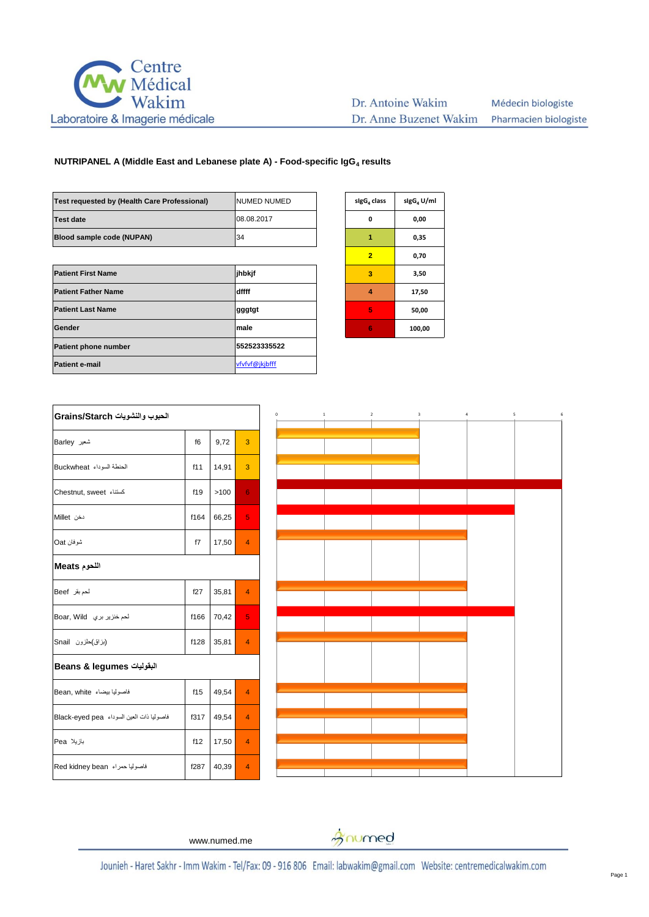

| Test requested by (Health Care Professional) | <b>NUMED NUMED</b> | sigG <sub>4</sub> class | sigG <sub>4</sub> U |
|----------------------------------------------|--------------------|-------------------------|---------------------|
| <b>Test date</b>                             | 08.08.2017         | 0                       | 0,00                |
| Blood sample code (NUPAN)                    | 34                 | 1                       | 0,35                |
|                                              |                    | $\overline{2}$          | 0,70                |
| <b>Patient First Name</b>                    | jhbkjf             | 3                       | 3,50                |
| <b>Patient Father Name</b>                   | dffff              | 4                       | 17,50               |
| <b>Patient Last Name</b>                     | gggtgt             | 5                       | 50,0                |
| Gender                                       | male               | 6                       | 100,0               |
| <b>Patient phone number</b>                  | 552523335522       |                         |                     |
| <b>Patient e-mail</b>                        | vfvfvf@jkjbfff     |                         |                     |
|                                              |                    |                         |                     |

| sigG <sub>4</sub> U/ml |
|------------------------|
| 0,00                   |
| 0,35                   |
| 0,70                   |
| 3,50                   |
| 17,50                  |
| 50,00                  |
| 100,00                 |
|                        |

| الحبوب والنشويات Grains/Starch |       |                |  |
|--------------------------------|-------|----------------|--|
| f6                             | 9,72  | 3              |  |
| f11                            | 14,91 | 3              |  |
| f19                            | >100  | 6              |  |
| f164                           | 66,25 | 5              |  |
| f7                             | 17,50 | $\overline{4}$ |  |
| اللحوم Meats                   |       |                |  |
| f27                            | 35,81 | $\overline{4}$ |  |
| f166                           | 70,42 | 5.             |  |
| f128                           | 35,81 | $\overline{4}$ |  |
| البقوليات Beans & legumes      |       |                |  |
| f15                            | 49,54 | $\overline{4}$ |  |
| f317                           | 49,54 | $\overline{4}$ |  |
| f12                            | 17,50 | 4              |  |
| f287                           | 40,39 | $\overline{4}$ |  |
|                                |       |                |  |



www.numed.me

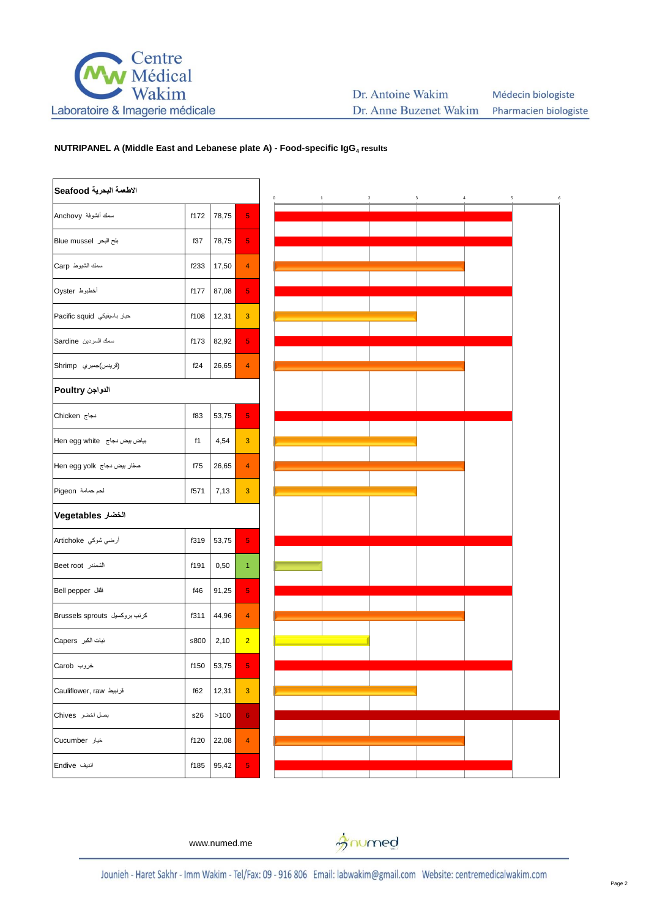

| الاطعمة البحرية Seafood       |      |            |                |
|-------------------------------|------|------------|----------------|
| سمك أنشوفة Anchovy            | f172 | 78,75      | 5              |
| بلح البحر Blue mussel         | f37  | 78,75      | 5              |
| سمك الشبوط Carp               | f233 | 17,50      | 4              |
| أخطبوط Oyster                 | f177 | 87,08      | 5              |
| حبار باسيفيكي Pacific squid   | f108 | 12,31      | $\overline{3}$ |
| سمك السردين Sardine           | f173 | 82,92      | 5              |
| (قريدس)جمبري Shrimp           | f24  | 26,65      | 4              |
| الدواجن Poultry               |      |            |                |
| دجاج Chicken                  | f83  | 53,75      | 5              |
| Hen egg white بياض بيض دجاج   | f1   | 4,54       | 3              |
| صفار بیض دجاج  Hen egg yolk   | f75  | 26,65      | 4              |
| لحم حمامة Pigeon              | f571 | 7,13       | 3              |
| الخضار Vegetables             |      |            |                |
| أرضي شوكي Artichoke           | f319 | 53,75      | 5              |
| الشمندر Beet root             | f191 | 0,50       | 1              |
| فلفل Bell pepper              | f46  | 91,25      | 5              |
| کرنب بروکسیل Brussels sprouts | f311 | 44,96      | 4              |
| نبات الكبر Capers             | s800 | 2,10       | $\overline{2}$ |
| خروب Carob                    |      | f150 53,75 | 5              |
| قرنبيط Cauliflower, raw       | f62  | 12,31      | 3              |
| بصل اخضر Chives               | s26  | >100       | 6              |
| خيار Cucumber                 | f120 | 22,08      | 4              |
| اندیف Endive                  | f185 | 95,42      | 5              |



www.numed.me

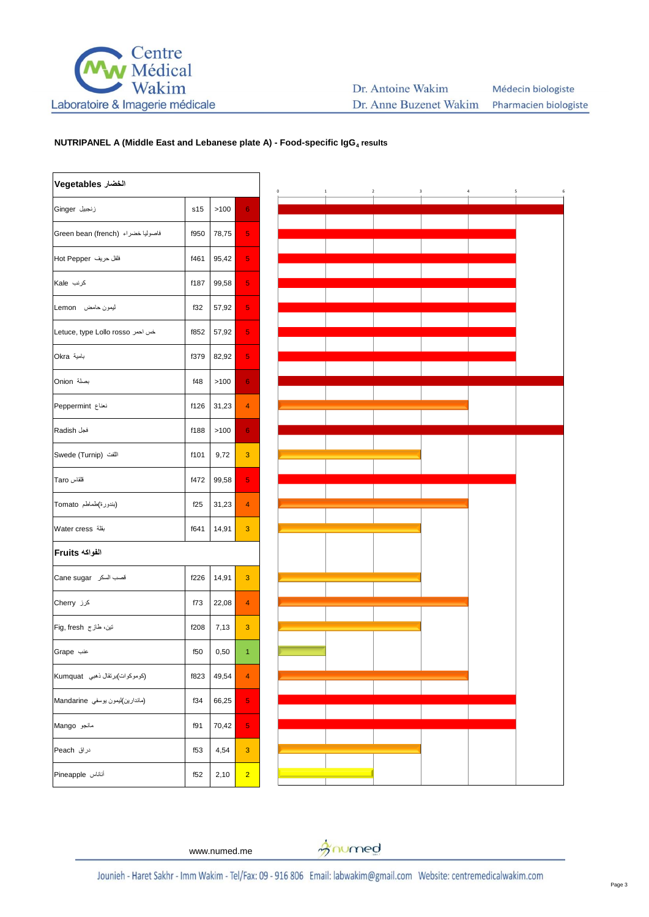

#### Dr. Antoine Wakim Médecin biologiste Dr. Anne Buzenet Wakim Pharmacien biologiste

# **NUTRIPANEL A (Middle East and Lebanese plate A) - Food-specific IgG<sup>4</sup> results**

| الخضار Vegetables                 |      |       |                |
|-----------------------------------|------|-------|----------------|
| زنجبيل Ginger                     | s15  | >100  | 6              |
| فاصوليا خضراء (Green bean (french | f950 | 78,75 | 5              |
| فلفل حريف Hot Pepper              | f461 | 95,42 | 5              |
| کرنب Kale                         | f187 | 99,58 | 5              |
| ليمون حامض Lemon                  | f32  | 57,92 | 5              |
| خس احمر Letuce, type Lollo rosso  | f852 | 57,92 | 5              |
| بامية Okra                        | f379 | 82,92 | 5              |
| بصلة Onion                        | f48  | >100  | 6              |
| نعناع Peppermint                  | f126 | 31,23 | 4              |
| فجل Radish                        | f188 | >100  | 6              |
| اللغت (Swede (Turnip              | f101 | 9,72  | 3              |
| قلقاس Taro                        | f472 | 99,58 | 5              |
| (بندورة)طماطم Tomato              | f25  | 31,23 | 4              |
| بقلة Water cress                  | f641 | 14,91 | 3              |
| الفواكه Fruits                    |      |       |                |
| قصب السكر Cane sugar              | f226 | 14,91 | 3              |
| کرز Cherry                        | f73  | 22,08 | 4              |
| تين، طاز ج Fig, fresh             | f208 | 7,13  | 3              |
| عنب Grape                         | f50  | 0,50  | 1              |
| (كوموكوات)برتقال ذهبي Kumquat     | f823 | 49,54 | 4              |
| (ماندارين)ليمون يوسفي Mandarine   | f34  | 66,25 | 5              |
| مانجو Mango                       | f91  | 70,42 | 5              |
| دراق Peach                        | f53  | 4,54  | 3              |
| أناناس Pineapple                  | f52  | 2,10  | $\overline{2}$ |



www.numed.me

gnumed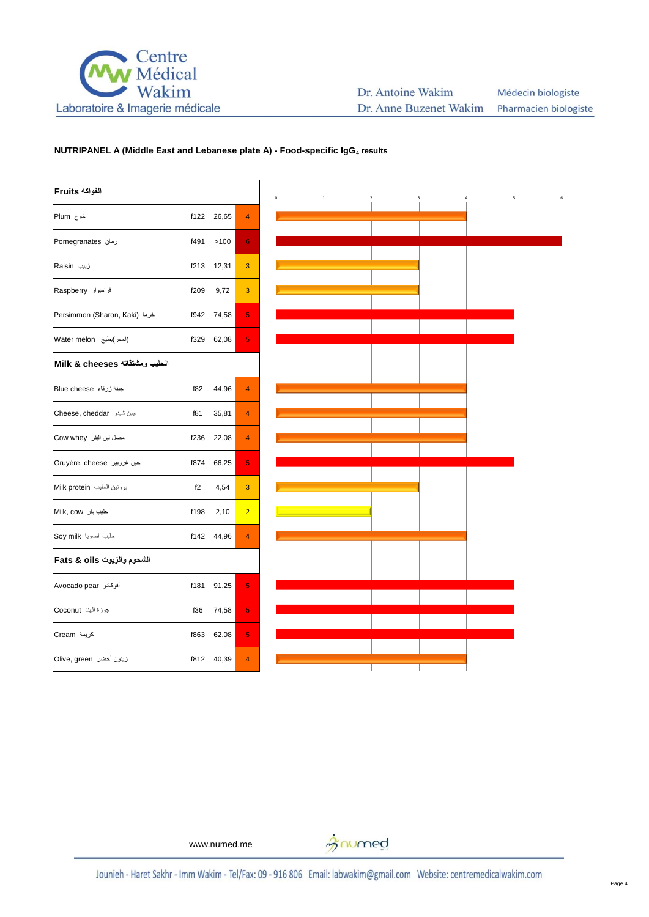

| الفواكه Fruits                 |      |       |                |
|--------------------------------|------|-------|----------------|
| خوخ Plum                       | f122 | 26,65 | 4              |
| رمان Pomegranates              | f491 | >100  | 6              |
| زبیب Raisin                    | f213 | 12,31 | 3              |
| فرامبواز Raspberry             | f209 | 9,72  | 3              |
| Persimmon (Sharon, Kaki) خرما  | f942 | 74,58 | 5              |
| (احمر)بطيخ Water melon         | f329 | 62,08 | 5              |
| الحليب ومشتقاته Milk & cheeses |      |       |                |
| جبنة زرقاء Blue cheese         | f82  | 44,96 | $\overline{4}$ |
| Cheese, cheddar جبن شيدر       | f81  | 35,81 | $\overline{4}$ |
| مصل لبن البقر Cow whey         | f236 | 22,08 | 4              |
| جبن غرويير  Gruyère, cheese    | f874 | 66,25 | 5              |
| بروتين الحليب Milk protein     | f2   | 4,54  | 3              |
| حليب بقر Milk, cow             | f198 | 2,10  | $\overline{2}$ |
| حليب الصويا Soy milk           | f142 | 44,96 | 4              |
| الشحوم والزيوت Fats & oils     |      |       |                |
| أفوكادو Avocado pear           | f181 | 91,25 | 5              |
| جوزة الهند Coconut             | f36  | 74,58 | 5              |
| كريمة Cream                    | f863 | 62,08 | 5              |
| زيتون أخضر   Olive, green      | f812 | 40,39 | $\overline{4}$ |



www.numed.me